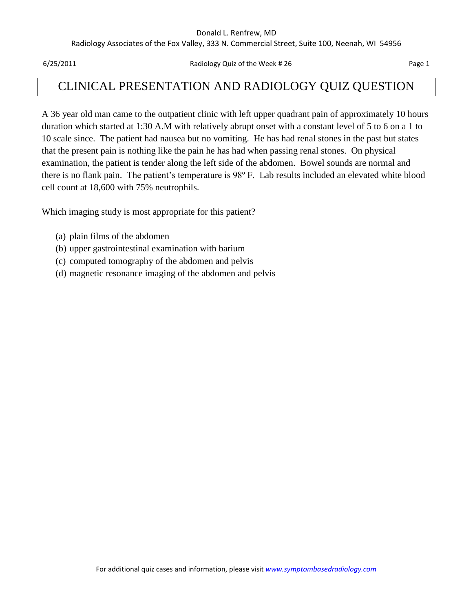#### Donald L. Renfrew, MD

Radiology Associates of the Fox Valley, 333 N. Commercial Street, Suite 100, Neenah, WI 54956

6/25/2011 Radiology Quiz of the Week # 26 Page 1

# CLINICAL PRESENTATION AND RADIOLOGY QUIZ QUESTION

A 36 year old man came to the outpatient clinic with left upper quadrant pain of approximately 10 hours duration which started at 1:30 A.M with relatively abrupt onset with a constant level of 5 to 6 on a 1 to 10 scale since. The patient had nausea but no vomiting. He has had renal stones in the past but states that the present pain is nothing like the pain he has had when passing renal stones. On physical examination, the patient is tender along the left side of the abdomen. Bowel sounds are normal and there is no flank pain. The patient's temperature is 98º F. Lab results included an elevated white blood cell count at 18,600 with 75% neutrophils.

Which imaging study is most appropriate for this patient?

- (a) plain films of the abdomen
- (b) upper gastrointestinal examination with barium
- (c) computed tomography of the abdomen and pelvis
- (d) magnetic resonance imaging of the abdomen and pelvis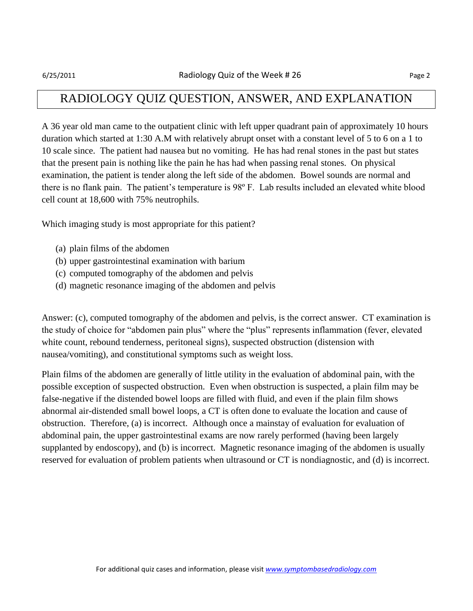#### RADIOLOGY QUIZ QUESTION, ANSWER, AND EXPLANATION

A 36 year old man came to the outpatient clinic with left upper quadrant pain of approximately 10 hours duration which started at 1:30 A.M with relatively abrupt onset with a constant level of 5 to 6 on a 1 to 10 scale since. The patient had nausea but no vomiting. He has had renal stones in the past but states that the present pain is nothing like the pain he has had when passing renal stones. On physical examination, the patient is tender along the left side of the abdomen. Bowel sounds are normal and there is no flank pain. The patient's temperature is 98º F. Lab results included an elevated white blood cell count at 18,600 with 75% neutrophils.

Which imaging study is most appropriate for this patient?

- (a) plain films of the abdomen
- (b) upper gastrointestinal examination with barium
- (c) computed tomography of the abdomen and pelvis
- (d) magnetic resonance imaging of the abdomen and pelvis

Answer: (c), computed tomography of the abdomen and pelvis, is the correct answer. CT examination is the study of choice for "abdomen pain plus" where the "plus" represents inflammation (fever, elevated white count, rebound tenderness, peritoneal signs), suspected obstruction (distension with nausea/vomiting), and constitutional symptoms such as weight loss.

Plain films of the abdomen are generally of little utility in the evaluation of abdominal pain, with the possible exception of suspected obstruction. Even when obstruction is suspected, a plain film may be false-negative if the distended bowel loops are filled with fluid, and even if the plain film shows abnormal air-distended small bowel loops, a CT is often done to evaluate the location and cause of obstruction. Therefore, (a) is incorrect. Although once a mainstay of evaluation for evaluation of abdominal pain, the upper gastrointestinal exams are now rarely performed (having been largely supplanted by endoscopy), and (b) is incorrect. Magnetic resonance imaging of the abdomen is usually reserved for evaluation of problem patients when ultrasound or CT is nondiagnostic, and (d) is incorrect.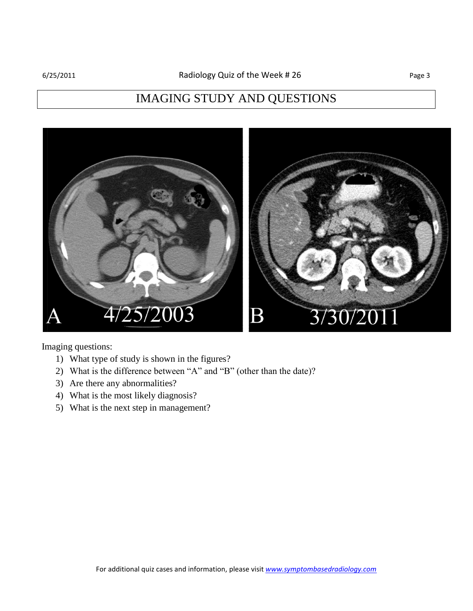### IMAGING STUDY AND QUESTIONS



Imaging questions:

- 1) What type of study is shown in the figures?
- 2) What is the difference between "A" and "B" (other than the date)?
- 3) Are there any abnormalities?
- 4) What is the most likely diagnosis?
- 5) What is the next step in management?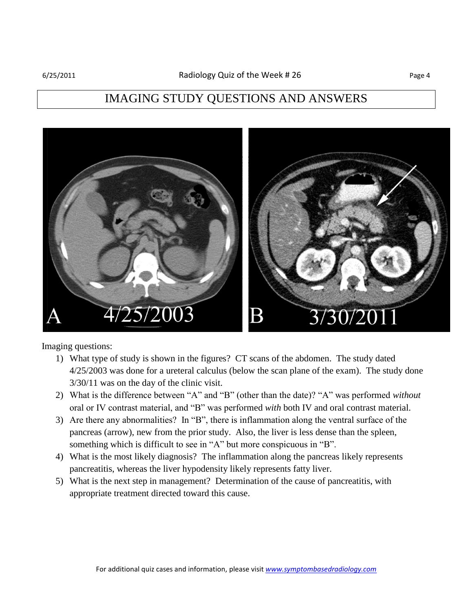## IMAGING STUDY QUESTIONS AND ANSWERS



Imaging questions:

- 1) What type of study is shown in the figures? CT scans of the abdomen. The study dated 4/25/2003 was done for a ureteral calculus (below the scan plane of the exam). The study done 3/30/11 was on the day of the clinic visit.
- 2) What is the difference between "A" and "B" (other than the date)? "A" was performed *without* oral or IV contrast material, and "B" was performed *with* both IV and oral contrast material.
- 3) Are there any abnormalities? In "B", there is inflammation along the ventral surface of the pancreas (arrow), new from the prior study. Also, the liver is less dense than the spleen, something which is difficult to see in "A" but more conspicuous in "B".
- 4) What is the most likely diagnosis? The inflammation along the pancreas likely represents pancreatitis, whereas the liver hypodensity likely represents fatty liver.
- 5) What is the next step in management? Determination of the cause of pancreatitis, with appropriate treatment directed toward this cause.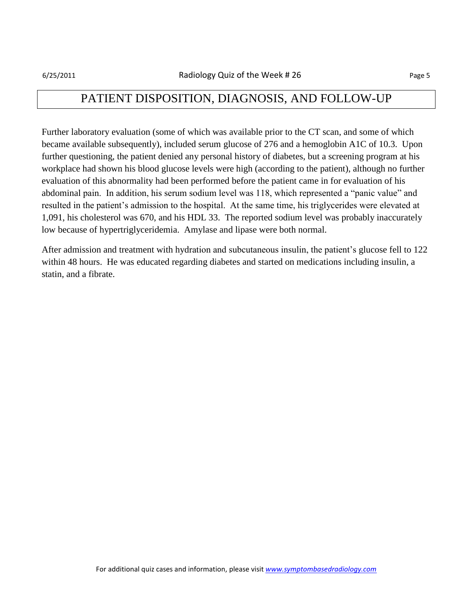## PATIENT DISPOSITION, DIAGNOSIS, AND FOLLOW-UP

Further laboratory evaluation (some of which was available prior to the CT scan, and some of which became available subsequently), included serum glucose of 276 and a hemoglobin A1C of 10.3. Upon further questioning, the patient denied any personal history of diabetes, but a screening program at his workplace had shown his blood glucose levels were high (according to the patient), although no further evaluation of this abnormality had been performed before the patient came in for evaluation of his abdominal pain. In addition, his serum sodium level was 118, which represented a "panic value" and resulted in the patient's admission to the hospital. At the same time, his triglycerides were elevated at 1,091, his cholesterol was 670, and his HDL 33. The reported sodium level was probably inaccurately low because of hypertriglyceridemia. Amylase and lipase were both normal.

After admission and treatment with hydration and subcutaneous insulin, the patient's glucose fell to 122 within 48 hours. He was educated regarding diabetes and started on medications including insulin, a statin, and a fibrate.